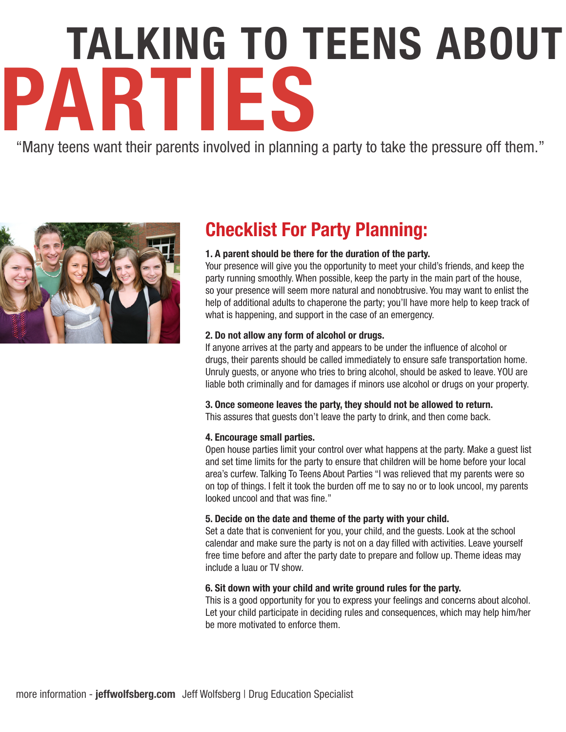# PARTIES TALKING TO TEENS ABOUT

"Many teens want their parents involved in planning a party to take the pressure off them."



# Checklist For Party Planning:

# 1. A parent should be there for the duration of the party.

Your presence will give you the opportunity to meet your child's friends, and keep the party running smoothly. When possible, keep the party in the main part of the house, so your presence will seem more natural and nonobtrusive. You may want to enlist the help of additional adults to chaperone the party; you'll have more help to keep track of what is happening, and support in the case of an emergency.

## 2. Do not allow any form of alcohol or drugs.

If anyone arrives at the party and appears to be under the influence of alcohol or drugs, their parents should be called immediately to ensure safe transportation home. Unruly guests, or anyone who tries to bring alcohol, should be asked to leave. YOU are liable both criminally and for damages if minors use alcohol or drugs on your property.

## 3. Once someone leaves the party, they should not be allowed to return.

This assures that guests don't leave the party to drink, and then come back.

## 4. Encourage small parties.

Open house parties limit your control over what happens at the party. Make a guest list and set time limits for the party to ensure that children will be home before your local area's curfew. Talking To Teens About Parties "I was relieved that my parents were so on top of things. I felt it took the burden off me to say no or to look uncool, my parents looked uncool and that was fine."

## 5. Decide on the date and theme of the party with your child.

Set a date that is convenient for you, your child, and the guests. Look at the school calendar and make sure the party is not on a day filled with activities. Leave yourself free time before and after the party date to prepare and follow up. Theme ideas may include a luau or TV show.

#### 6. Sit down with your child and write ground rules for the party.

This is a good opportunity for you to express your feelings and concerns about alcohol. Let your child participate in deciding rules and consequences, which may help him/her be more motivated to enforce them.